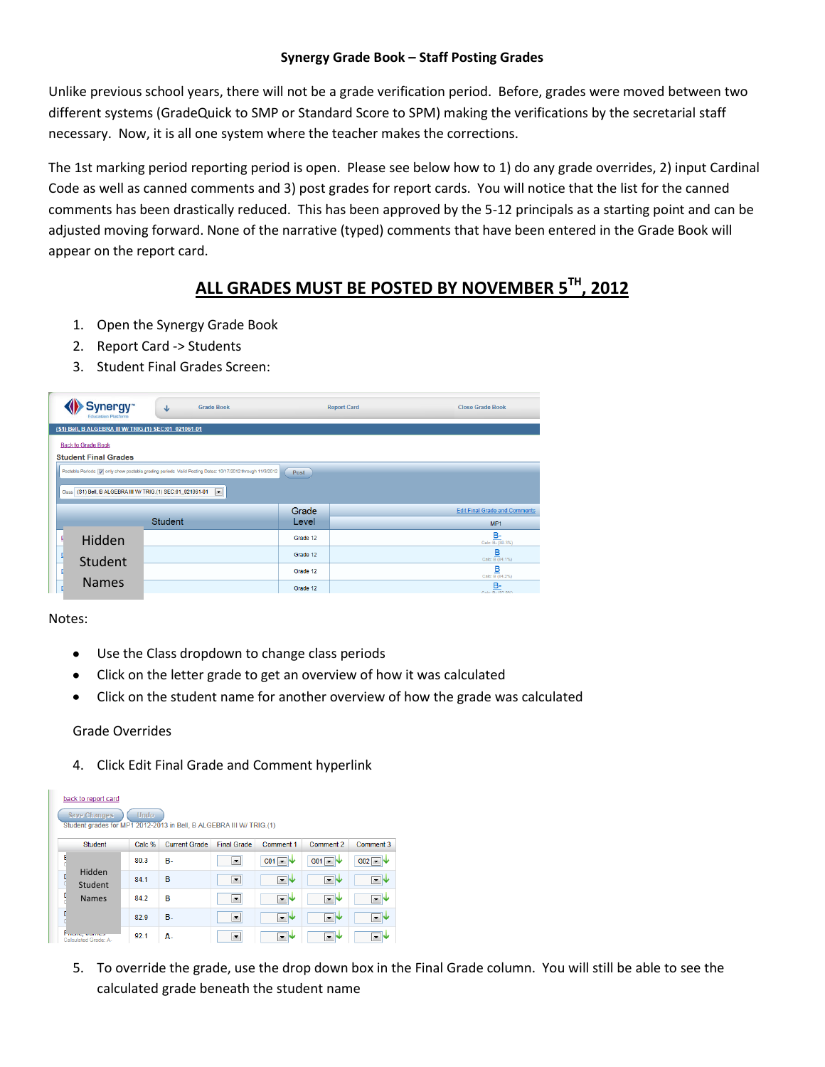## **Synergy Grade Book – Staff Posting Grades**

Unlike previous school years, there will not be a grade verification period. Before, grades were moved between two different systems (GradeQuick to SMP or Standard Score to SPM) making the verifications by the secretarial staff necessary. Now, it is all one system where the teacher makes the corrections.

The 1st marking period reporting period is open. Please see below how to 1) do any grade overrides, 2) input Cardinal Code as well as canned comments and 3) post grades for report cards. You will notice that the list for the canned comments has been drastically reduced. This has been approved by the 5-12 principals as a starting point and can be adjusted moving forward. None of the narrative (typed) comments that have been entered in the Grade Book will appear on the report card.

## **ALL GRADES MUST BE POSTED BY NOVEMBER 5TH, 2012**

- 1. Open the Synergy Grade Book
- 2. Report Card -> Students
- 3. Student Final Grades Screen:

| Synergy <sup>-</sup><br><b>Education Platform</b>                                             | <b>Grade Book</b><br>↓                                                                                          |          | <b>Report Card</b> | <b>Close Grade Book</b>                      |  |  |
|-----------------------------------------------------------------------------------------------|-----------------------------------------------------------------------------------------------------------------|----------|--------------------|----------------------------------------------|--|--|
| (\$1) Bell, B ALGEBRA III W/ TRIG.(1) SEC:01 021061-01                                        |                                                                                                                 |          |                    |                                              |  |  |
| <b>Back to Grade Book</b>                                                                     |                                                                                                                 |          |                    |                                              |  |  |
| <b>Student Final Grades</b>                                                                   |                                                                                                                 |          |                    |                                              |  |  |
|                                                                                               | Postable Periods V only show postable grading periods Valid Posting Dates: 10/17/2012 through 11/3/2012<br>Post |          |                    |                                              |  |  |
|                                                                                               |                                                                                                                 |          |                    |                                              |  |  |
| (S1) Bell, B ALGEBRA III W/ TRIG.(1) SEC:01_021061-01<br>$\blacktriangledown$<br><b>Class</b> |                                                                                                                 |          |                    |                                              |  |  |
|                                                                                               |                                                                                                                 | Grade    |                    | <b>Edit Final Grade and Comments</b>         |  |  |
| Student                                                                                       |                                                                                                                 | Level    |                    | MP <sub>1</sub>                              |  |  |
| Hidden                                                                                        |                                                                                                                 | Grade 12 |                    | B-<br>Calc: B- (80.3%)                       |  |  |
| Student                                                                                       |                                                                                                                 | Grade 12 |                    | $\frac{\mathbf{B}}{\text{Calc: B} (84.1\%)}$ |  |  |
|                                                                                               |                                                                                                                 | Grade 12 |                    | $\underline{\mathbf{B}}$<br>Calc: B (84.2%)  |  |  |
| <b>Names</b>                                                                                  |                                                                                                                 | Grade 12 |                    | $B -$<br>Cale: R. (82.0%)                    |  |  |

Notes:

- Use the Class dropdown to change class periods
- Click on the letter grade to get an overview of how it was calculated
- Click on the student name for another overview of how the grade was calculated

## Grade Overrides

4. Click Edit Final Grade and Comment hyperlink

| back to report card<br>Undo.<br><b>Save Changes</b><br>Student grades for MP1 2012-2013 in Bell, B ALGEBRA III W/ TRIG.(1) |        |                      |                          |                          |                             |                          |  |
|----------------------------------------------------------------------------------------------------------------------------|--------|----------------------|--------------------------|--------------------------|-----------------------------|--------------------------|--|
| Student                                                                                                                    | Calc % | <b>Current Grade</b> | <b>Final Grade</b>       | Comment 1                | Comment 2                   | Comment 3                |  |
| E                                                                                                                          | 80.3   | <b>B.</b>            | $\overline{\phantom{a}}$ | $CO1$ $\rightarrow$      | $G01$ $\blacktriangleright$ | $G02$ $\rightarrow$      |  |
| Hidden<br>Student                                                                                                          | 84.1   | B                    | $\blacktriangledown$     | ≖∿                       | 一小                          | $\overline{\phantom{a}}$ |  |
| <b>Names</b>                                                                                                               | 84.2   | B                    | $\blacktriangledown$     | $\sqrt{2}$               | ▾₩                          | ▾₩                       |  |
|                                                                                                                            | 82.9   | <b>B.</b>            | $\blacktriangledown$     | $\sqrt{2}$               | $-1$                        | $\bullet$                |  |
| Calculated Grade: A-                                                                                                       | 92.1   | Α.                   | ▼                        | $\overline{\phantom{0}}$ | $\cdot$                     |                          |  |

5. To override the grade, use the drop down box in the Final Grade column. You will still be able to see the calculated grade beneath the student name